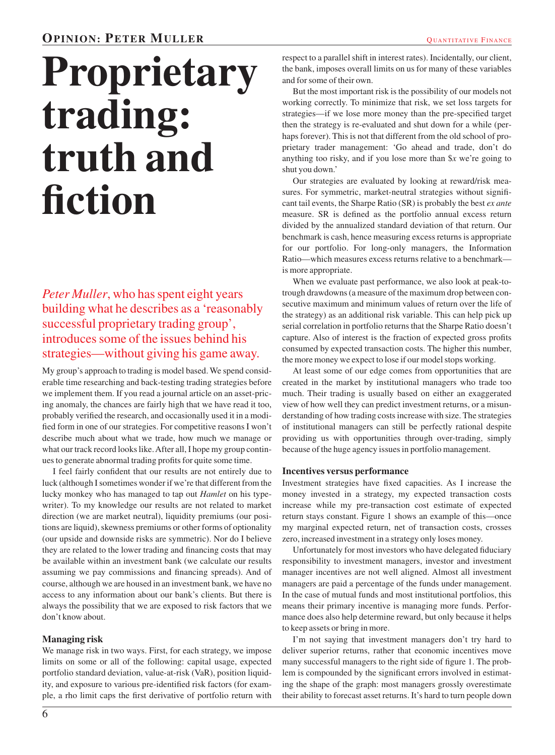# **Proprietary trading: truth and fiction**

*Peter Muller*, who has spent eight years building what he describes as a 'reasonably successful proprietary trading group', introduces some of the issues behind his strategies—without giving his game away.

My group's approach to trading is model based. We spend considerable time researching and back-testing trading strategies before we implement them. If you read a journal article on an asset-pricing anomaly, the chances are fairly high that we have read it too, probably verified the research, and occasionally used it in a modified form in one of our strategies. For competitive reasons I won't describe much about what we trade, how much we manage or what our track record looks like. After all, I hope my group continues to generate abnormal trading profits for quite some time.

I feel fairly confident that our results are not entirely due to luck (although I sometimes wonder if we're that different from the lucky monkey who has managed to tap out *Hamlet* on his typewriter). To my knowledge our results are not related to market direction (we are market neutral), liquidity premiums (our positions are liquid), skewness premiums or other forms of optionality (our upside and downside risks are symmetric). Nor do I believe they are related to the lower trading and financing costs that may be available within an investment bank (we calculate our results assuming we pay commissions and financing spreads). And of course, although we are housed in an investment bank, we have no access to any information about our bank's clients. But there is always the possibility that we are exposed to risk factors that we don't know about.

## **Managing risk**

We manage risk in two ways. First, for each strategy, we impose limits on some or all of the following: capital usage, expected portfolio standard deviation, value-at-risk (VaR), position liquidity, and exposure to various pre-identified risk factors (for example, a rho limit caps the first derivative of portfolio return with

respect to a parallel shift in interest rates). Incidentally, our client, the bank, imposes overall limits on us for many of these variables and for some of their own.

But the most important risk is the possibility of our models not working correctly. To minimize that risk, we set loss targets for strategies—if we lose more money than the pre-specified target then the strategy is re-evaluated and shut down for a while (perhaps forever). This is not that different from the old school of proprietary trader management: 'Go ahead and trade, don't do anything too risky, and if you lose more than \$*x* we're going to shut you down.'

Our strategies are evaluated by looking at reward/risk measures. For symmetric, market-neutral strategies without significant tail events, the Sharpe Ratio (SR) is probably the best *ex ante* measure. SR is defined as the portfolio annual excess return divided by the annualized standard deviation of that return. Our benchmark is cash, hence measuring excess returns is appropriate for our portfolio. For long-only managers, the Information Ratio—which measures excess returns relative to a benchmark is more appropriate.

When we evaluate past performance, we also look at peak-totrough drawdowns (a measure of the maximum drop between consecutive maximum and minimum values of return over the life of the strategy) as an additional risk variable. This can help pick up serial correlation in portfolio returns that the Sharpe Ratio doesn't capture. Also of interest is the fraction of expected gross profits consumed by expected transaction costs. The higher this number, the more money we expect to lose if our model stops working.

At least some of our edge comes from opportunities that are created in the market by institutional managers who trade too much. Their trading is usually based on either an exaggerated view of how well they can predict investment returns, or a misunderstanding of how trading costs increase with size. The strategies of institutional managers can still be perfectly rational despite providing us with opportunities through over-trading, simply because of the huge agency issues in portfolio management.

#### **Incentives versus performance**

Investment strategies have fixed capacities. As I increase the money invested in a strategy, my expected transaction costs increase while my pre-transaction cost estimate of expected return stays constant. Figure 1 shows an example of this—once my marginal expected return, net of transaction costs, crosses zero, increased investment in a strategy only loses money.

Unfortunately for most investors who have delegated fiduciary responsibility to investment managers, investor and investment manager incentives are not well aligned. Almost all investment managers are paid a percentage of the funds under management. In the case of mutual funds and most institutional portfolios, this means their primary incentive is managing more funds. Performance does also help determine reward, but only because it helps to keep assets or bring in more.

I'm not saying that investment managers don't try hard to deliver superior returns, rather that economic incentives move many successful managers to the right side of figure 1. The problem is compounded by the significant errors involved in estimating the shape of the graph: most managers grossly overestimate their ability to forecast asset returns. It's hard to turn people down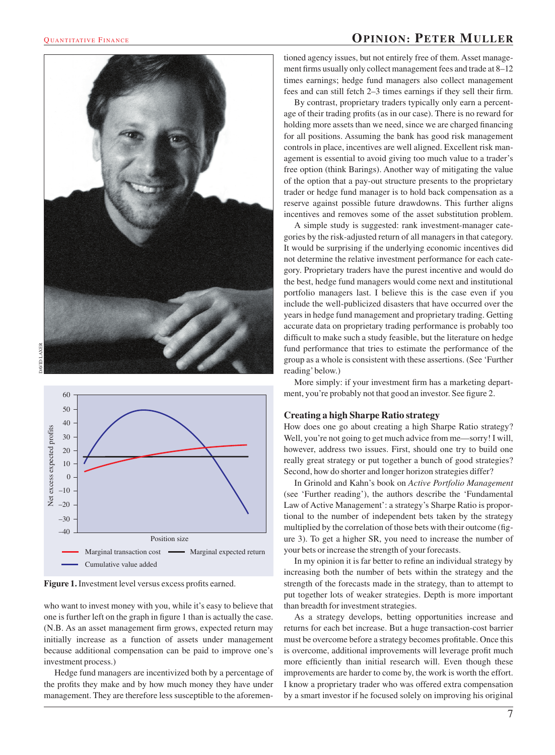### **QUANTITATIVE FINANCE OPINION: PETER MULLER**





**Figure 1.** Investment level versus excess profits earned.

who want to invest money with you, while it's easy to believe that one is further left on the graph in figure 1 than is actually the case. (N.B. As an asset management firm grows, expected return may initially increase as a function of assets under management because additional compensation can be paid to improve one's investment process.)

Hedge fund managers are incentivized both by a percentage of the profits they make and by how much money they have under management. They are therefore less susceptible to the aforementioned agency issues, but not entirely free of them. Asset management firms usually only collect management fees and trade at 8–12 times earnings; hedge fund managers also collect management fees and can still fetch 2–3 times earnings if they sell their firm.

By contrast, proprietary traders typically only earn a percentage of their trading profits (as in our case). There is no reward for holding more assets than we need, since we are charged financing for all positions. Assuming the bank has good risk management controls in place, incentives are well aligned. Excellent risk management is essential to avoid giving too much value to a trader's free option (think Barings). Another way of mitigating the value of the option that a pay-out structure presents to the proprietary trader or hedge fund manager is to hold back compensation as a reserve against possible future drawdowns. This further aligns incentives and removes some of the asset substitution problem.

A simple study is suggested: rank investment-manager categories by the risk-adjusted return of all managers in that category. It would be surprising if the underlying economic incentives did not determine the relative investment performance for each category. Proprietary traders have the purest incentive and would do the best, hedge fund managers would come next and institutional portfolio managers last. I believe this is the case even if you include the well-publicized disasters that have occurred over the years in hedge fund management and proprietary trading. Getting accurate data on proprietary trading performance is probably too difficult to make such a study feasible, but the literature on hedge fund performance that tries to estimate the performance of the group as a whole is consistent with these assertions. (See 'Further reading'below.)

More simply: if your investment firm has a marketing department, you're probably not that good an investor. See figure 2.

#### **Creating a high Sharpe Ratio strategy**

How does one go about creating a high Sharpe Ratio strategy? Well, you're not going to get much advice from me—sorry! I will, however, address two issues. First, should one try to build one really great strategy or put together a bunch of good strategies? Second, how do shorter and longer horizon strategies differ?

In Grinold and Kahn's book on *Active Portfolio Management* (see 'Further reading'), the authors describe the 'Fundamental Law of Active Management': a strategy's Sharpe Ratio is proportional to the number of independent bets taken by the strategy multiplied by the correlation of those bets with their outcome (figure 3). To get a higher SR, you need to increase the number of your bets or increase the strength of your forecasts.

In my opinion it is far better to refine an individual strategy by increasing both the number of bets within the strategy and the strength of the forecasts made in the strategy, than to attempt to put together lots of weaker strategies. Depth is more important than breadth for investment strategies.

As a strategy develops, betting opportunities increase and returns for each bet increase. But a huge transaction-cost barrier must be overcome before a strategy becomes profitable. Once this is overcome, additional improvements will leverage profit much more efficiently than initial research will. Even though these improvements are harder to come by, the work is worth the effort. I know a proprietary trader who was offered extra compensation by a smart investor if he focused solely on improving his original